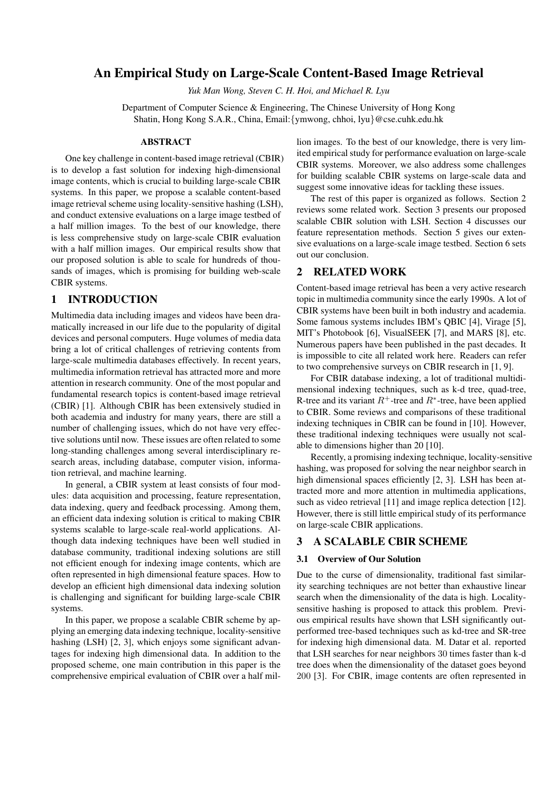# **An Empirical Study on Large-Scale Content-Based Image Retrieval**

*Yuk Man Wong, Steven C. H. Hoi, and Michael R. Lyu*

Department of Computer Science & Engineering, The Chinese University of Hong Kong Shatin, Hong Kong S.A.R., China, Email:{ymwong, chhoi, lyu}@cse.cuhk.edu.hk

#### **ABSTRACT**

One key challenge in content-based image retrieval (CBIR) is to develop a fast solution for indexing high-dimensional image contents, which is crucial to building large-scale CBIR systems. In this paper, we propose a scalable content-based image retrieval scheme using locality-sensitive hashing (LSH), and conduct extensive evaluations on a large image testbed of a half million images. To the best of our knowledge, there is less comprehensive study on large-scale CBIR evaluation with a half million images. Our empirical results show that our proposed solution is able to scale for hundreds of thousands of images, which is promising for building web-scale CBIR systems.

## **1 INTRODUCTION**

Multimedia data including images and videos have been dramatically increased in our life due to the popularity of digital devices and personal computers. Huge volumes of media data bring a lot of critical challenges of retrieving contents from large-scale multimedia databases effectively. In recent years, multimedia information retrieval has attracted more and more attention in research community. One of the most popular and fundamental research topics is content-based image retrieval (CBIR) [1]. Although CBIR has been extensively studied in both academia and industry for many years, there are still a number of challenging issues, which do not have very effective solutions until now. These issues are often related to some long-standing challenges among several interdisciplinary research areas, including database, computer vision, information retrieval, and machine learning.

In general, a CBIR system at least consists of four modules: data acquisition and processing, feature representation, data indexing, query and feedback processing. Among them, an efficient data indexing solution is critical to making CBIR systems scalable to large-scale real-world applications. Although data indexing techniques have been well studied in database community, traditional indexing solutions are still not efficient enough for indexing image contents, which are often represented in high dimensional feature spaces. How to develop an efficient high dimensional data indexing solution is challenging and significant for building large-scale CBIR systems.

In this paper, we propose a scalable CBIR scheme by applying an emerging data indexing technique, locality-sensitive hashing (LSH) [2, 3], which enjoys some significant advantages for indexing high dimensional data. In addition to the proposed scheme, one main contribution in this paper is the comprehensive empirical evaluation of CBIR over a half million images. To the best of our knowledge, there is very limited empirical study for performance evaluation on large-scale CBIR systems. Moreover, we also address some challenges for building scalable CBIR systems on large-scale data and suggest some innovative ideas for tackling these issues.

The rest of this paper is organized as follows. Section 2 reviews some related work. Section 3 presents our proposed scalable CBIR solution with LSH. Section 4 discusses our feature representation methods. Section 5 gives our extensive evaluations on a large-scale image testbed. Section 6 sets out our conclusion.

### **2 RELATED WORK**

Content-based image retrieval has been a very active research topic in multimedia community since the early 1990s. A lot of CBIR systems have been built in both industry and academia. Some famous systems includes IBM's QBIC [4], Virage [5], MIT's Photobook [6], VisualSEEK [7], and MARS [8], etc. Numerous papers have been published in the past decades. It is impossible to cite all related work here. Readers can refer to two comprehensive surveys on CBIR research in [1, 9].

For CBIR database indexing, a lot of traditional multidimensional indexing techniques, such as k-d tree, quad-tree, R-tree and its variant  $R^+$ -tree and  $R^*$ -tree, have been applied to CBIR. Some reviews and comparisons of these traditional indexing techniques in CBIR can be found in [10]. However, these traditional indexing techniques were usually not scalable to dimensions higher than 20 [10].

Recently, a promising indexing technique, locality-sensitive hashing, was proposed for solving the near neighbor search in high dimensional spaces efficiently [2, 3]. LSH has been attracted more and more attention in multimedia applications, such as video retrieval [11] and image replica detection [12]. However, there is still little empirical study of its performance on large-scale CBIR applications.

### **3 A SCALABLE CBIR SCHEME**

#### **3.1 Overview of Our Solution**

Due to the curse of dimensionality, traditional fast similarity searching techniques are not better than exhaustive linear search when the dimensionality of the data is high. Localitysensitive hashing is proposed to attack this problem. Previous empirical results have shown that LSH significantly outperformed tree-based techniques such as kd-tree and SR-tree for indexing high dimensional data. M. Datar et al. reported that LSH searches for near neighbors 30 times faster than k-d tree does when the dimensionality of the dataset goes beyond 200 [3]. For CBIR, image contents are often represented in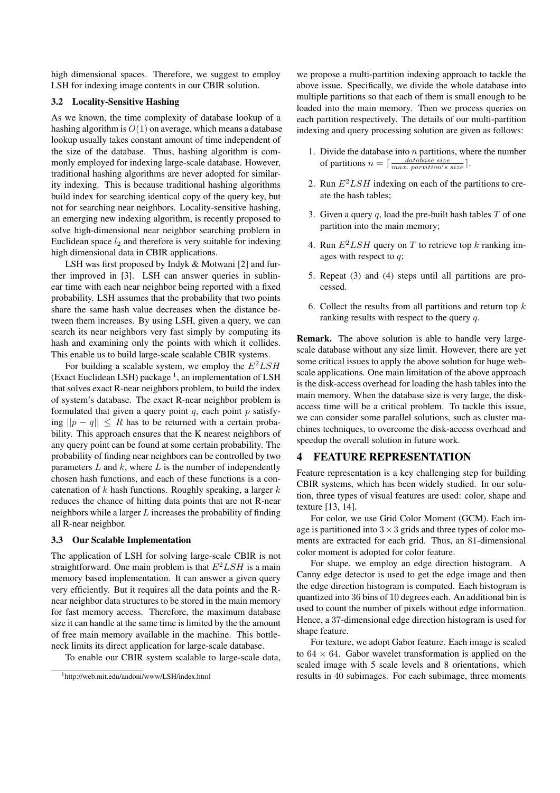high dimensional spaces. Therefore, we suggest to employ LSH for indexing image contents in our CBIR solution.

#### **3.2 Locality-Sensitive Hashing**

As we known, the time complexity of database lookup of a hashing algorithm is *O*(1) on average, which means a database lookup usually takes constant amount of time independent of the size of the database. Thus, hashing algorithm is commonly employed for indexing large-scale database. However, traditional hashing algorithms are never adopted for similarity indexing. This is because traditional hashing algorithms build index for searching identical copy of the query key, but not for searching near neighbors. Locality-sensitive hashing, an emerging new indexing algorithm, is recently proposed to solve high-dimensional near neighbor searching problem in Euclidean space *l*<sup>2</sup> and therefore is very suitable for indexing high dimensional data in CBIR applications.

LSH was first proposed by Indyk & Motwani [2] and further improved in [3]. LSH can answer queries in sublinear time with each near neighbor being reported with a fixed probability. LSH assumes that the probability that two points share the same hash value decreases when the distance between them increases. By using LSH, given a query, we can search its near neighbors very fast simply by computing its hash and examining only the points with which it collides. This enable us to build large-scale scalable CBIR systems.

For building a scalable system, we employ the *E*<sup>2</sup>*LSH* (Exact Euclidean LSH) package  $<sup>1</sup>$ , an implementation of LSH</sup> that solves exact R-near neighbors problem, to build the index of system's database. The exact R-near neighbor problem is formulated that given a query point *q*, each point *p* satisfying  $||p − q||$  < *R* has to be returned with a certain probability. This approach ensures that the K nearest neighbors of any query point can be found at some certain probability. The probability of finding near neighbors can be controlled by two parameters *L* and *k*, where *L* is the number of independently chosen hash functions, and each of these functions is a concatenation of *k* hash functions. Roughly speaking, a larger *k* reduces the chance of hitting data points that are not R-near neighbors while a larger *L* increases the probability of finding all R-near neighbor.

### **3.3 Our Scalable Implementation**

The application of LSH for solving large-scale CBIR is not straightforward. One main problem is that  $E^2LSH$  is a main memory based implementation. It can answer a given query very efficiently. But it requires all the data points and the Rnear neighbor data structures to be stored in the main memory for fast memory access. Therefore, the maximum database size it can handle at the same time is limited by the the amount of free main memory available in the machine. This bottleneck limits its direct application for large-scale database.

To enable our CBIR system scalable to large-scale data,

we propose a multi-partition indexing approach to tackle the above issue. Specifically, we divide the whole database into multiple partitions so that each of them is small enough to be loaded into the main memory. Then we process queries on each partition respectively. The details of our multi-partition indexing and query processing solution are given as follows:

- 1. Divide the database into *n* partitions, where the number of partitions  $n = \lceil \frac{database size}{max.$  partition's size.
- 2. Run  $E^2LSH$  indexing on each of the partitions to create the hash tables;
- 3. Given a query *q*, load the pre-built hash tables *T* of one partition into the main memory;
- 4. Run *E*2*LSH* query on *T* to retrieve top *k* ranking images with respect to *q*;
- 5. Repeat (3) and (4) steps until all partitions are processed.
- 6. Collect the results from all partitions and return top *k* ranking results with respect to the query *q*.

**Remark.** The above solution is able to handle very largescale database without any size limit. However, there are yet some critical issues to apply the above solution for huge webscale applications. One main limitation of the above approach is the disk-access overhead for loading the hash tables into the main memory. When the database size is very large, the diskaccess time will be a critical problem. To tackle this issue, we can consider some parallel solutions, such as cluster machines techniques, to overcome the disk-access overhead and speedup the overall solution in future work.

### **4 FEATURE REPRESENTATION**

Feature representation is a key challenging step for building CBIR systems, which has been widely studied. In our solution, three types of visual features are used: color, shape and texture [13, 14].

For color, we use Grid Color Moment (GCM). Each image is partitioned into  $3 \times 3$  grids and three types of color moments are extracted for each grid. Thus, an 81-dimensional color moment is adopted for color feature.

For shape, we employ an edge direction histogram. A Canny edge detector is used to get the edge image and then the edge direction histogram is computed. Each histogram is quantized into 36 bins of 10 degrees each. An additional bin is used to count the number of pixels without edge information. Hence, a 37-dimensional edge direction histogram is used for shape feature.

For texture, we adopt Gabor feature. Each image is scaled to  $64 \times 64$ . Gabor wavelet transformation is applied on the scaled image with 5 scale levels and 8 orientations, which results in 40 subimages. For each subimage, three moments

<sup>1</sup>http://web.mit.edu/andoni/www/LSH/index.html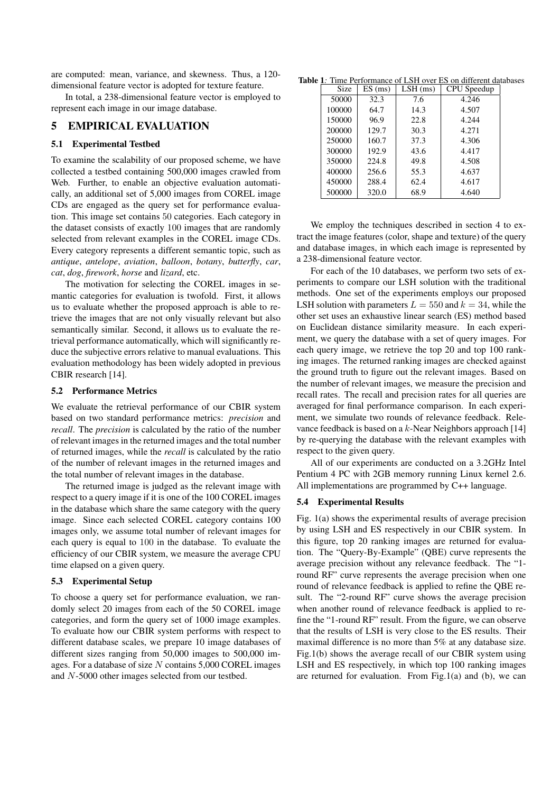are computed: mean, variance, and skewness. Thus, a 120 dimensional feature vector is adopted for texture feature.

In total, a 238-dimensional feature vector is employed to represent each image in our image database.

### **5 EMPIRICAL EVALUATION**

### **5.1 Experimental Testbed**

To examine the scalability of our proposed scheme, we have collected a testbed containing 500,000 images crawled from Web. Further, to enable an objective evaluation automatically, an additional set of 5,000 images from COREL image CDs are engaged as the query set for performance evaluation. This image set contains 50 categories. Each category in the dataset consists of exactly 100 images that are randomly selected from relevant examples in the COREL image CDs. Every category represents a different semantic topic, such as *antique*, *antelope*, *aviation*, *balloon*, *botany*, *butterfly*, *car*, *cat*, *dog*, *firework*, *horse* and *lizard*, etc.

The motivation for selecting the COREL images in semantic categories for evaluation is twofold. First, it allows us to evaluate whether the proposed approach is able to retrieve the images that are not only visually relevant but also semantically similar. Second, it allows us to evaluate the retrieval performance automatically, which will significantly reduce the subjective errors relative to manual evaluations. This evaluation methodology has been widely adopted in previous CBIR research [14].

#### **5.2 Performance Metrics**

We evaluate the retrieval performance of our CBIR system based on two standard performance metrics: *precision* and *recall*. The *precision* is calculated by the ratio of the number of relevant images in the returned images and the total number of returned images, while the *recall* is calculated by the ratio of the number of relevant images in the returned images and the total number of relevant images in the database.

The returned image is judged as the relevant image with respect to a query image if it is one of the 100 COREL images in the database which share the same category with the query image. Since each selected COREL category contains 100 images only, we assume total number of relevant images for each query is equal to 100 in the database. To evaluate the efficiency of our CBIR system, we measure the average CPU time elapsed on a given query.

### **5.3 Experimental Setup**

To choose a query set for performance evaluation, we randomly select 20 images from each of the 50 COREL image categories, and form the query set of 1000 image examples. To evaluate how our CBIR system performs with respect to different database scales, we prepare 10 image databases of different sizes ranging from 50,000 images to 500,000 images. For a database of size *N* contains 5,000 COREL images and *N*-5000 other images selected from our testbed.

Table 1: Time Performance of LSH over ES on different databases

| Size   | $ES$ (ms) | $LSH$ (ms) | CPU Speedup |
|--------|-----------|------------|-------------|
| 50000  | 32.3      | 7.6        | 4.246       |
| 100000 | 64.7      | 14.3       | 4.507       |
| 150000 | 96.9      | 22.8       | 4.244       |
| 200000 | 129.7     | 30.3       | 4.271       |
| 250000 | 160.7     | 37.3       | 4.306       |
| 300000 | 192.9     | 43.6       | 4.417       |
| 350000 | 224.8     | 49.8       | 4.508       |
| 400000 | 256.6     | 55.3       | 4.637       |
| 450000 | 288.4     | 62.4       | 4.617       |
| 500000 | 320.0     | 68.9       | 4.640       |

We employ the techniques described in section 4 to extract the image features (color, shape and texture) of the query and database images, in which each image is represented by a 238-dimensional feature vector.

For each of the 10 databases, we perform two sets of experiments to compare our LSH solution with the traditional methods. One set of the experiments employs our proposed LSH solution with parameters  $L = 550$  and  $k = 34$ , while the other set uses an exhaustive linear search (ES) method based on Euclidean distance similarity measure. In each experiment, we query the database with a set of query images. For each query image, we retrieve the top 20 and top 100 ranking images. The returned ranking images are checked against the ground truth to figure out the relevant images. Based on the number of relevant images, we measure the precision and recall rates. The recall and precision rates for all queries are averaged for final performance comparison. In each experiment, we simulate two rounds of relevance feedback. Relevance feedback is based on a *k*-Near Neighbors approach [14] by re-querying the database with the relevant examples with respect to the given query.

All of our experiments are conducted on a 3.2GHz Intel Pentium 4 PC with 2GB memory running Linux kernel 2.6. All implementations are programmed by C++ language.

### **5.4 Experimental Results**

Fig. 1(a) shows the experimental results of average precision by using LSH and ES respectively in our CBIR system. In this figure, top 20 ranking images are returned for evaluation. The "Query-By-Example" (QBE) curve represents the average precision without any relevance feedback. The "1 round RF" curve represents the average precision when one round of relevance feedback is applied to refine the QBE result. The "2-round RF" curve shows the average precision when another round of relevance feedback is applied to refine the "1-round RF" result. From the figure, we can observe that the results of LSH is very close to the ES results. Their maximal difference is no more than 5% at any database size. Fig.1(b) shows the average recall of our CBIR system using LSH and ES respectively, in which top 100 ranking images are returned for evaluation. From Fig.1(a) and (b), we can